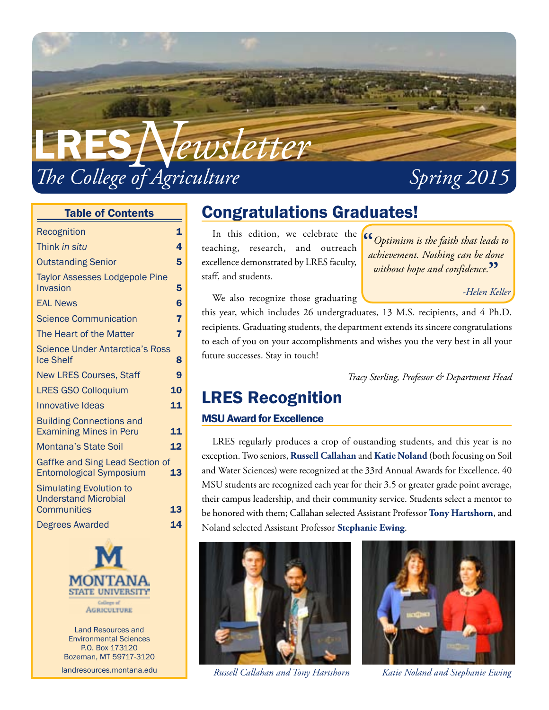

#### Table of Contents

| Recognition                                                                         | 1              |
|-------------------------------------------------------------------------------------|----------------|
| Think in situ                                                                       | 4              |
| <b>Outstanding Senior</b>                                                           | 5              |
| <b>Taylor Assesses Lodgepole Pine</b><br>Invasion                                   | 5              |
| <b>EAL News</b>                                                                     | $\overline{6}$ |
| <b>Science Communication</b>                                                        | 7              |
| The Heart of the Matter                                                             | 7              |
| <b>Science Under Antarctica's Ross</b><br><b>Ice Shelf</b>                          | 8              |
| <b>New LRES Courses, Staff</b>                                                      | 9              |
| <b>LRES GSO Colloquium</b>                                                          | 10             |
| <b>Innovative Ideas</b>                                                             | 11             |
| <b>Building Connections and</b><br><b>Examining Mines in Peru</b>                   | 11             |
| <b>Montana's State Soil</b>                                                         | 12             |
| Gaffke and Sing Lead Section of<br><b>Entomological Symposium</b>                   | 13             |
| <b>Simulating Evolution to</b><br><b>Understand Microbial</b><br><b>Communities</b> | 13             |
| <b>Degrees Awarded</b>                                                              | 14             |
|                                                                                     |                |



Land Resources and Environmental Sciences P.O. Box 173120 Bozeman, MT 59717-3120

landresources.montana.edu

# Congratulations Graduates!

In this edition, we celebrate the teaching, research, and outreach excellence demonstrated by LRES faculty, staff, and students.

**"***Optimism is the faith that leads to achievement. Nothing can be done without hope and confidence.***"**

*-Helen Keller*

We also recognize those graduating

this year, which includes 26 undergraduates, 13 M.S. recipients, and 4 Ph.D. recipients. Graduating students, the department extends its sincere congratulations to each of you on your accomplishments and wishes you the very best in all your future successes. Stay in touch!

*Tracy Sterling, Professor & Department Head*

### LRES Recognition

#### MSU Award for Excellence

LRES regularly produces a crop of oustanding students, and this year is no exception. Two seniors, **Russell Callahan** and **Katie Noland** (both focusing on Soil and Water Sciences) were recognized at the 33rd Annual Awards for Excellence. 40 MSU students are recognized each year for their 3.5 or greater grade point average, their campus leadership, and their community service. Students select a mentor to be honored with them; Callahan selected Assistant Professor **Tony Hartshorn**, and Noland selected Assistant Professor **Stephanie Ewing**.



*Russell Callahan and Tony Hartshorn Katie Noland and Stephanie Ewing*

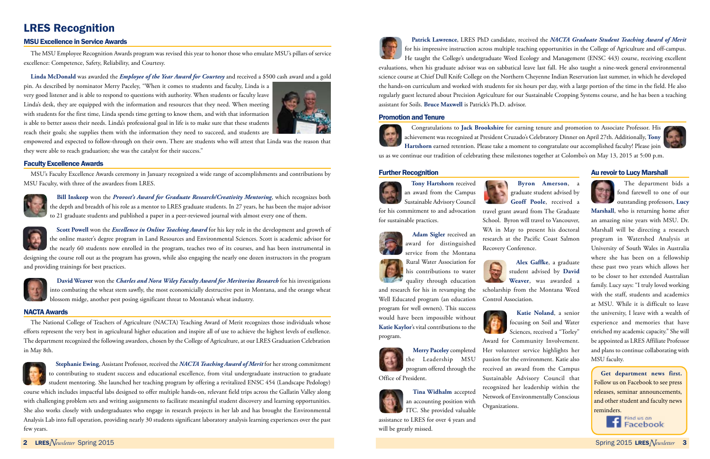# LRES Recognition

#### MSU Excellence in Service Awards

The MSU Employee Recognition Awards program was revised this year to honor those who emulate MSU's pillars of service excellence: Competence, Safety, Reliability, and Courtesy.

#### **Linda McDonald** was awarded the *Employee of the Year Award for Courtesy* and received a \$500 cash award and a gold

pin. As described by nominator Merry Paceley, "When it comes to students and faculty, Linda is a very good listener and is able to respond to questions with authority. When students or faculty leave Linda's desk, they are equipped with the information and resources that they need. When meeting with students for the first time, Linda spends time getting to know them, and with that information is able to better assess their needs. Linda's professional goal in life is to make sure that these students reach their goals; she supplies them with the information they need to succeed, and students are



empowered and expected to follow-through on their own. There are students who will attest that Linda was the reason that they were able to reach graduation; she was the catalyst for their success."

#### Faculty Excellence Awards

MSU's Faculty Excellence Awards ceremony in January recognized a wide range of accomplishments and contributions by MSU Faculty, with three of the awardees from LRES.



**Bill Inskeep** won the *Provost's Award for Graduate Research/Creativity Mentoring*, which recognizes both the depth and breadth of his role as a mentor to LRES graduate students. In 27 years, he has been the major advisor to 21 graduate students and published a paper in a peer-reviewed journal with almost every one of them.





**David Weaver** won the *Charles and Nora Wiley Faculty Award for Meritorius Research* for his investigations into combating the wheat stem sawfly, the most economicially destructive pest in Montana, and the orange wheat blossom midge, another pest posing significant threat to Montana's wheat industry.

#### NACTA Awards

The National College of Teachers of Agriculture (NACTA) Teaching Award of Merit recognizes those individuals whose efforts represent the very best in agricultural higher education and inspire all of use to achieve the highest levels of exellence. The department recognized the following awardees, chosen by the College of Agriculture, at our LRES Graduation Celebration in May 8th.





**Patrick Lawrence**, LRES PhD candidate, received the *NACTA Graduate Student Teaching Award of Merit*  for his impressive instruction across multiple teaching opportunities in the College of Agriculture and off-campus. He taught the College's undergraduate Weed Ecology and Management (ENSC 443) course, receiving excellent

evaluations, when his graduate advisor was on sabbatical leave last fall. He also taught a nine-week general environmental science course at Chief Dull Knife College on the Northern Cheyenne Indian Reservation last summer, in which he developed the hands-on curriculum and worked with students for six hours per day, with a large portion of the time in the field. He also regularly guest lectured about Precision Agriculture for our Sustainable Cropping Systems course, and he has been a teaching assistant for Soils. **Bruce Maxwell** is Patrick's Ph.D. advisor.

#### Promotion and Tenure



Congratulations to **Jack Brookshire** for earning tenure and promotion to Associate Professor. His achievement was recognized at President Cruzado's Celebratory Dinner on April 27th. Additionally, **Tony Hartshorn** earned retention. Please take a moment to congratulate our accomplished faculty! Please join

us as we continue our tradition of celebrating these milestones together at Colombo's on May 13, 2015 at 5:00 p.m.

#### Further Recognition



**Tony Hartshorn** received an award from the Campus Sustainable Advisory Council

for his commitment to and advocation for sustainable practices.



**Adam Sigler** received an award for distinguished service from the Montana

Rural Water Association for his contributions to water quality through education

and research for his in revamping the Well Educated program (an education program for well owners). This success would have been impossible without **Katie Kaylor**'s vital contributions to the program.



**Merry Paceley** completed the Leadership MSU program offered through the Office of President.



**Tina Widhalm** accepted an accounting position with ITC. She provided valuable

assistance to LRES for over 4 years and will be greatly missed.



**Byron Amerson**, a graduate student advised by **Geoff Poole**, received a travel grant award from The Graduate School. Byron will travel to Vancouver, WA in May to present his doctoral research at the Pacific Coast Salmon Recovery Conference.

**Alex Gaffke**, a graduate student advised by **David Weaver**, was awarded a scholarship from the Montana Weed Control Association.



**Katie Noland**, a senior focusing on Soil and Water Sciences, received a "Torley" Award for Community Involvement. Her volunteer service highlights her passion for the environment. Katie also received an award from the Campus Sustainable Advisory Council that recognized her leadership within the Network of Environmentally Conscious Organizations.



#### Au revoir to Lucy Marshall



The department bids a fond farewell to one of our outstanding professors, **Lucy** 

**Marshall**, who is returning home after an amazing nine years with MSU. Dr. Marshall will be directing a research program in Watershed Analysis at University of South Wales in Australia where she has been on a fellowship these past two years which allows her to be closer to her extended Australian family. Lucy says: "I truly loved working with the staff, students and academics at MSU. While it is difficult to leave the university, I leave with a wealth of experience and memories that have enriched my academic capacity." She will be appointed as LRES Affiliate Professor and plans to continue collaborating with MSU faculty.

**Get department news first.**  Follow us on Facebook to see press releases, seminar announcements, and other student and faculty news reminders.

> Find us on Findus on<br>Facebook

<sup>2</sup> LRES*Newsletter* Spring 2015 Spring 2015 LRES*Newsletter* <sup>3</sup>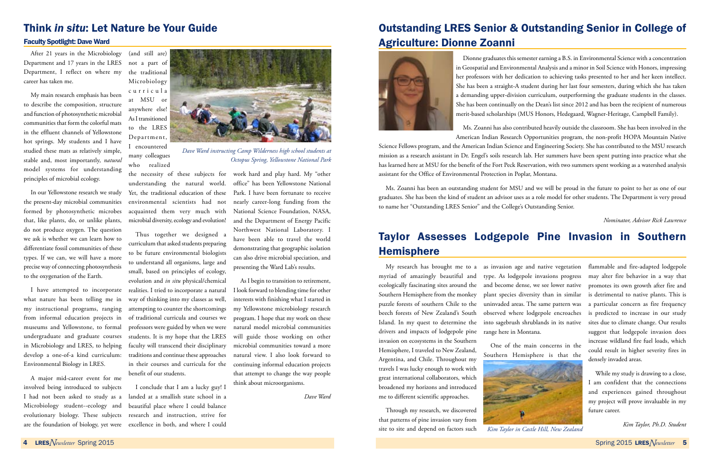# Think *in situ*: Let Nature be Your Guide

#### Faculty Spotlight: Dave Ward

After 21 years in the Microbiology Department and 17 years in the LRES Department, I reflect on where my career has taken me.

My main research emphasis has been to describe the composition, structure and function of photosynthetic microbial communities that form the colorful mats in the effluent channels of Yellowstone hot springs. My students and I have studied these mats as relatively simple, stable and, most importantly, *natural* model systems for understanding principles of microbial ecology.

In our Yellowstone research we study the present-day microbial communities formed by photosynthetic microbes that, like plants, do, or unlike plants, do not produce oxygen. The question we ask is whether we can learn how to differentiate fossil communities of these types. If we can, we will have a more precise way of connecting photosynthesis to the oxygenation of the Earth.

what nature has been telling me in my instructional programs, ranging from informal education projects in museums and Yellowstone, to formal undergraduate and graduate courses in Microbiology and LRES, to helping develop a one-of-a kind curriculum: traditions and continue these approaches Environmental Biology in LRES.

(and still are) not a part of the traditional Microbiology c u r r i c u l a

at MSU or anywhere else! As I transitioned to the LRES Department, I encountered

many colleagues who realized

I have attempted to incorporate realities. I tried to incorporate a natural Thus together we designed a curriculum that asked students preparing to be future environmental biologists to understand all organisms, large and small, based on principles of ecology, evolution and *in situ* physical/chemical way of thinking into my classes as well, attempting to counter the shortcomings of traditional curricula and courses we professors were guided by when we were students. It is my hope that the LRES faculty will transcend their disciplinary in their courses and curricula for the benefit of our students.

the necessity of these subjects for understanding the natural world. Yet, the traditional education of these environmental scientists had not acquainted them very much with microbial diversity, ecology and evolution!

A major mid-career event for me involved being introduced to subjects I had not been asked to study as a Microbiology student--ecology and evolutionary biology. These subjects research and instruction, strive for are the foundation of biology, yet were excellence in both, and where I could

I conclude that I am a lucky guy! I landed at a smallish state school in a beautiful place where I could balance

# Taylor Assesses Lodgepole Pine Invasion in Southern **Hemisphere**

can also drive microbial speciation, and

presenting the Ward Lab's results.

work hard and play hard. My "other office" has been Yellowstone National Park. I have been fortunate to receive nearly career-long funding from the National Science Foundation, NASA, and the Department of Energy Pacific Northwest National Laboratory. I have been able to travel the world demonstrating that geographic isolation *Octopus Spring, Yellowstone National Park*

As I begin to transition to retirement, I look forward to blending time for other interests with finishing what I started in my Yellowstone microbiology research program. I hope that my work on these natural model microbial communities will guide those working on other microbial communities toward a more natural view. I also look forward to continuing informal education projects that attempt to change the way people think about microorganisms.

*Dave Ward*

*Dave Ward instructing Camp Wilderness high school students at* 

# Outstanding LRES Senior & Outstanding Senior in College of Agriculture: Dionne Zoanni



Dionne graduates this semester earning a B.S. in Environmental Science with a concentration in Geospatial and Environmental Analysis and a minor in Soil Science with Honors, impressing her professors with her dedication to achieving tasks presented to her and her keen intellect. She has been a straight-A student during her last four semesters, during which she has taken a demanding upper-division curriculum, outperforming the graduate students in the classes. She has been continually on the Dean's list since 2012 and has been the recipient of numerous merit-based scholarships (MUS Honors, Hedegaard, Wagner-Heritage, Campbell Family).

Ms. Zoanni has also contributed heavily outside the classroom. She has been involved in the

American Indian Research Opportunities program, the non-profit HOPA Mountain Native Science Fellows program, and the American Indian Science and Engineering Society. She has contributed to the MSU research mission as a research assistant in Dr. Engel's soils research lab. Her summers have been spent putting into practice what she has learned here at MSU for the benefit of the Fort Peck Reservation, with two summers spent working as a watershed analysis assistant for the Office of Environmental Protection in Poplar, Montana.

Ms. Zoanni has been an outstanding student for MSU and we will be proud in the future to point to her as one of our graduates. She has been the kind of student an advisor uses as a role model for other students. The Department is very proud to name her "Outstanding LRES Senior" and the College's Outstanding Senior.

*Nominator, Advisor Rick Lawrence*

Island. In my quest to determine the drivers and impacts of lodgepole pine range here in Montana. invasion on ecosystems in the Southern Hemisphere, I traveled to New Zealand, Argentina, and Chile. Throughout my travels I was lucky enough to work with great international collaborators, which broadened my horizons and introduced me to different scientific approaches.

My research has brought me to a as invasion age and native vegetation flammable and fire-adapted lodgepole myriad of amazingly beautiful and type. As lodgepole invasions progress may alter fire behavior in a way that ecologically fascinating sites around the and become dense, we see lower native Southern Hemisphere from the monkey plant species diversity than in similar is detrimental to native plants. This is puzzle forests of southern Chile to the uninvaded areas. The same pattern was beech forests of New Zealand's South observed where lodgepole encroaches into sagebrush shrublands in its native

Through my research, we discovered that patterns of pine invasion vary from site to site and depend on factors such

One of the main concerns in the Southern Hemisphere is that the promotes its own growth after fire and a particular concern as fire frequency is predicted to increase in our study sites due to climate change. Our results suggest that lodgepole invasion does increase wildland fire fuel loads, which could result in higher severity fires in densely invaded areas.

While my study is drawing to a close, I am confident that the connections and experiences gained throughout my project will prove invaluable in my future career.

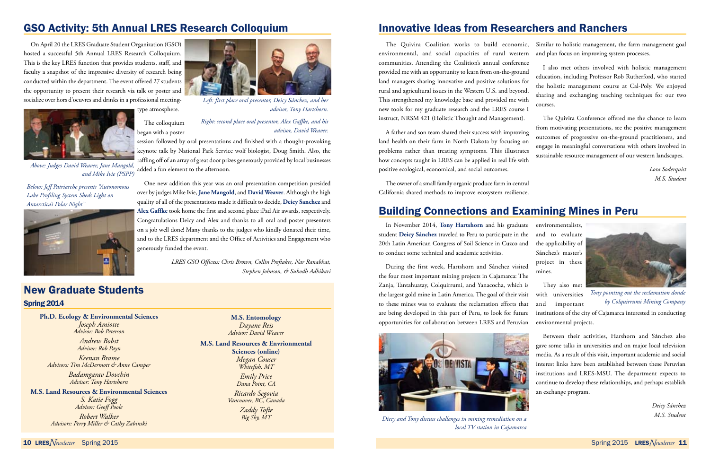# Building Connections and Examining Mines in Peru

In November 2014, **Tony Hartshorn** and his graduate student **Deicy Sánchez** traveled to Peru to participate in the 20th Latin American Congress of Soil Science in Cuzco and to conduct some technical and academic activities.

environmentalists, and to evaluate the applicability of Sánchez's master's



During the first week, Hartshorn and Sánchez visited the four most important mining projects in Cajamarca: The Zanja, Tantahuatay, Colquirrumi, and Yanacocha, which is the largest gold mine in Latin America. The goal of their visit to these mines was to evaluate the reclamation efforts that are being developed in this part of Peru, to look for future opportunities for collaboration between LRES and Peruvian project in these mines. They also met with universities and important institutions of the city of Cajamarca interested in conducting environmental projects. *Tony pointing out the reclamation donde by Colquirrumi Mining Company*

> Between their activities, Harshorn and Sánchez also gave some talks in universities and on major local television media. As a result of this visit, important academic and social interest links have been established between these Peruvian institutions and LRES-MSU. The department expects to continue to develop these relationships, and perhaps establish an exchange program.

> > *Deicy Sánchez*



*local TV station in Cajamarca* 

### New Graduate Students Spring 2014

**Ph.D. Ecology & Environmental Sciences** *Joseph Amiotte Advisor: Bob Peterson*

> *Andrew Bobst Advisor: Rob Payn*

*Keenan Brame Advisors: Tim McDermott & Anne Camper*

> *Badamgarav Dovchin Advisor: Tony Hartshorn*

**M.S. Land Resources & Environmental Sciences** *S. Katie Fogg Advisor: Geoff Poole Robert Walker*

*Advisors: Perry Miller & Cathy Zabinski*

**M.S. Entomology** *Dayane Reis Advisor: David Weaver*

#### **M.S. Land Resources & Envrionmental Sciences (online)**

*Megan Couser Whitefish, MT*

*Emily Price Dana Point, CA*

*Ricardo Segovia Vancouver, BC, Canada*

> *Zaddy Tofte Big Sky, MT*

# GSO Activity: 5th Annual LRES Research Colloquium

On April 20 the LRES Graduate Student Organization (GSO) hosted a successful 5th Annual LRES Research Colloquium. This is the key LRES function that provides students, staff, and faculty a snapshot of the impressive diversity of research being conducted within the department. The event offered 27 students the opportunity to present their research via talk or poster and socialize over hors d'oeuvres and drinks in a professional meeting-

The colloquium

session followed by oral presentations and finished with a thought-provoking keynote talk by National Park Service wolf biologist, Doug Smith. Also, the raffling off of an array of great door prizes generously provided by local businesses added a fun element to the afternoon.

One new addition this year was an oral presentation competition presided over by judges Mike Ivie, **Jane Mangold**, and **David Weaver**. Although the high quality of all of the presentations made it difficult to decide, **Deicy Sanchez** and **Alex Gaffke** took home the first and second place iPad Air awards, respectively. Congratulations Deicy and Alex and thanks to all oral and poster presenters on a job well done! Many thanks to the judges who kindly donated their time, and to the LRES department and the Office of Activities and Engagement who generously funded the event.

> *LRES GSO Officess: Chris Brown, Collin Preftakes, Nar Ranabhat, Stephen Johnson, & Subodh Adhikari*

# Innovative Ideas from Researchers and Ranchers



*Above: Judges David Weaver, Jane Mangold, and Mike Ivie (PSPP)*

The Quivira Coalition works to build economic, environmental, and social capacities of rural western communities. Attending the Coalition's annual conference provided me with an opportunity to learn from on-the-ground land managers sharing innovative and positive solutions for rural and agricultural issues in the Western U.S. and beyond. This strengthened my knowledge base and provided me with new tools for my graduate research and the LRES course I instruct, NRSM 421 (Holistic Thought and Management). Similar to holistic management, the farm management goal and plan focus on improving system processes. I also met others involved with holistic management education, including Professor Rob Rutherford, who started the holistic management course at Cal-Poly. We enjoyed sharing and exchanging teaching techniques for our two courses. The Quivira Conference offered me the chance to learn

The owner of a small family organic produce farm in central California shared methods to improve ecosystem resilience.

A father and son team shared their success with improving land health on their farm in North Dakota by focusing on problems rather than treating symptoms. This illustrates how concepts taught in LRES can be applied in real life with positive ecological, economical, and social outcomes. from motivating presentations, see the positive management outcomes of progressive on-the-ground practitioners, and engage in meaningful conversations with others involved in sustainable resource management of our western landscapes. *Lora Soderquist*

*M.S. Student*



*Left: first place oral presentor, Deicy Sánchez, and her advisor, Tony Hartshorn.*

#### *Right: second place oral presentor, Alex Gaffke, and his advisor, David Weaver.*

*Below: Jeff Patriarche presents "Autonomous Lake Profiling System Sheds Light on Antarctica's Polar Night"*

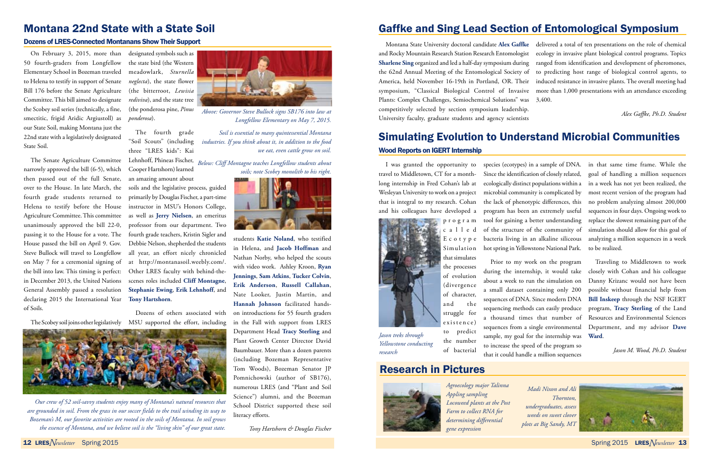## Research in Pictures

# Gaffke and Sing Lead Section of Entomological Symposium

Montana State University doctoral candidate **Alex Gaffke** and Rocky Mountain Research Station Research Entomologist **Sharlene Sing** organized and led a half-day symposium during the 62nd Annual Meeting of the Entomological Society of America, held November 16-19th in Portland, OR. Their symposium, "Classical Biological Control of Invasive Plants: Complex Challenges, Semiochemical Solutions" was 3,400. competitively selected by section symposium leadership. University faculty, graduate students and agency scientists delivered a total of ten presentations on the role of chemical ecology in invasive plant biological control programs. Topics ranged from identification and development of pheromones, to predicting host range of biological control agents, to induced resistance in invasive plants. The overall meeting had more than 1,000 presentations with an attendance exceeding *Alex Gaffke, Ph.D. Student*

### Montana 22nd State with a State Soil

#### Dozens of LRES-Connected Montanans Show Their Support

On February 3, 2015, more than designated symbols such as 50 fourth-graders from Longfellow Elementary School in Bozeman traveled to Helena to testify in support of Senate *neglecta*), the state flower Bill 176 before the Senate Agriculture Committee. This bill aimed to designate the Scobey soil series (technically, a fine, smectitic, frigid Aridic Argiustoll) as our State Soil, making Montana just the 22nd state with a legislatively designated State Soil.

The Senate Agriculture Committee Lehnhoff, Phineas Fischer, narrowly approved the bill (6-5), which then passed out of the full Senate, an amazing amount about over to the House. In late March, the soils and the legislative process, guided fourth grade students returned to Helena to testify before the House instructor in MSU's Honors College, Agriculture Committee. This committee as well as **Jerry Nielsen**, an emeritus unanimously approved the bill 22-0, professor from our department. Two passing it to the House for a vote. The fourth grade teachers, Kristin Sigler and House passed the bill on April 9. Gov. Debbie Nelson, shepherded the students Steve Bullock will travel to Longfellow all year, an effort nicely chronicled on May 7 for a ceremonial signing of at http://montanasoil.weebly.com/. the bill into law. This timing is perfect: Other LRES faculty with behind-thein December 2013, the United Nations scenes roles included **Cliff Montagne**, General Assembly passed a resolution declaring 2015 the International Year of Soils.

the state bird (the Western meadowlark, *Sturnella*  (the bitterroot, *Lewisia rediviva*), and the state tree (the ponderosa pine, *Pinus ponderosa*).

The fourth grade "Soil Scouts" (including three "LRES kids": Kai Cooper Hartshorn) learned



primarily by Douglas Fischer, a part-time **Stephanie Ewing**, **Erik Lehnhoff**, and **Tony Hartshorn**.

Dozens of others associated with

students **Katie Noland**, who testified in Helena, and **Jacob Hoffman** and Nathan Norby, who helped the scouts with video work. Ashley Kroon, **Ryan Jennings**, **Sam Atkins**, **Tucker Colvin**, **Erik Anderson**, **Russell Callahan**, Nate Looker, Justin Martin, and **Hannah Johnson** facilitated handson introductions for 55 fourth graders in the Fall with support from LRES Department Head **Tracy Sterling** and Plant Growth Center Director David Baumbauer. More than a dozen parents (including Bozeman Representative Tom Woods), Bozeman Senator JP Pomnichowski (author of SB176), numerous LRES (and "Plant and Soil Science") alumni, and the Bozeman School District supported these soil literacy efforts.

*Tony Hartshorn & Douglas Fischer*



*Our crew of 52 soil-savvy students enjoy many of Montana's natural resources that are grounded in soil. From the grass in our soccer fields to the trail winding its way to Bozeman's M, our favorite activities are rooted in the soils of Montana. In soil grows the essence of Montana, and we believe soil is the "living skin" of our great state.*

## Simulating Evolution to Understand Microbial Communities Wood Reports on IGERT Internship

travel to Middletown, CT for a monthlong internship in Fred Cohan's lab at Wesleyan University to work on a project that is integral to my research. Cohan and his colleagues have developed a



I was granted the opportunity to species (ecotypes) in a sample of DNA. in that same time frame. While the Since the identification of closely related, ecologically distinct populations within a microbial community is complicated by the lack of phenotypic differences, this tool for gaining a better understanding hot spring in Yellowstone National Park.

> the number of bacterial



Prior to my work on the program during the internship, it would take about a week to run the simulation on a small dataset containing only 200 sequences of DNA. Since modern DNA sequencing methods can easily produce a thousand times that number of Resources and Environmental Sciences sequences from a single environmental Department, and my advisor **Dave**  sample, my goal for the internship was **Ward**. to increase the speed of the program so that it could handle a million sequences

program has been an extremely useful sequences in four days. Ongoing work to of the structure of the community of simulation should allow for this goal of bacteria living in an alkaline siliceous analyzing a million sequences in a week goal of handling a million sequences in a week has not yet been realized, the most recent version of the program had no problem analyzing almost 200,000 replace the slowest remaining part of the to be realized.

> Traveling to Middletown to work closely with Cohan and his colleague Danny Krizanc would not have been possible without financial help from **Bill Inskeep** through the NSF IGERT program, **Tracy Sterling** of the Land

> > *Jason M. Wood, Ph.D. Student*

*Jason treks through Yellowstone conducting research*

> *Madi Nixon and Ali Thornton, undergraduates, assess weeds on sweet clover plots at Big Sandy, MT*





*Above: Governor Steve Bullock signs SB176 into law at Longfellow Elementary on May 7, 2015.*

*Soil is essential to many quintessential Montana industries. If you think about it, in addition to the food we eat, even cattle grow on soil.*

*Below: Cliff Montagne teaches Longfellow students about soils; note Scobey monolith to his right.*



*Agroecology major Talinna Appling sampling Locoweed plants at the Post Farm to collect RNA for determining differential gene expression*

<sup>12</sup> LRES*Newsletter* Spring 2015 Spring 2015 LRES*Newsletter* <sup>13</sup>